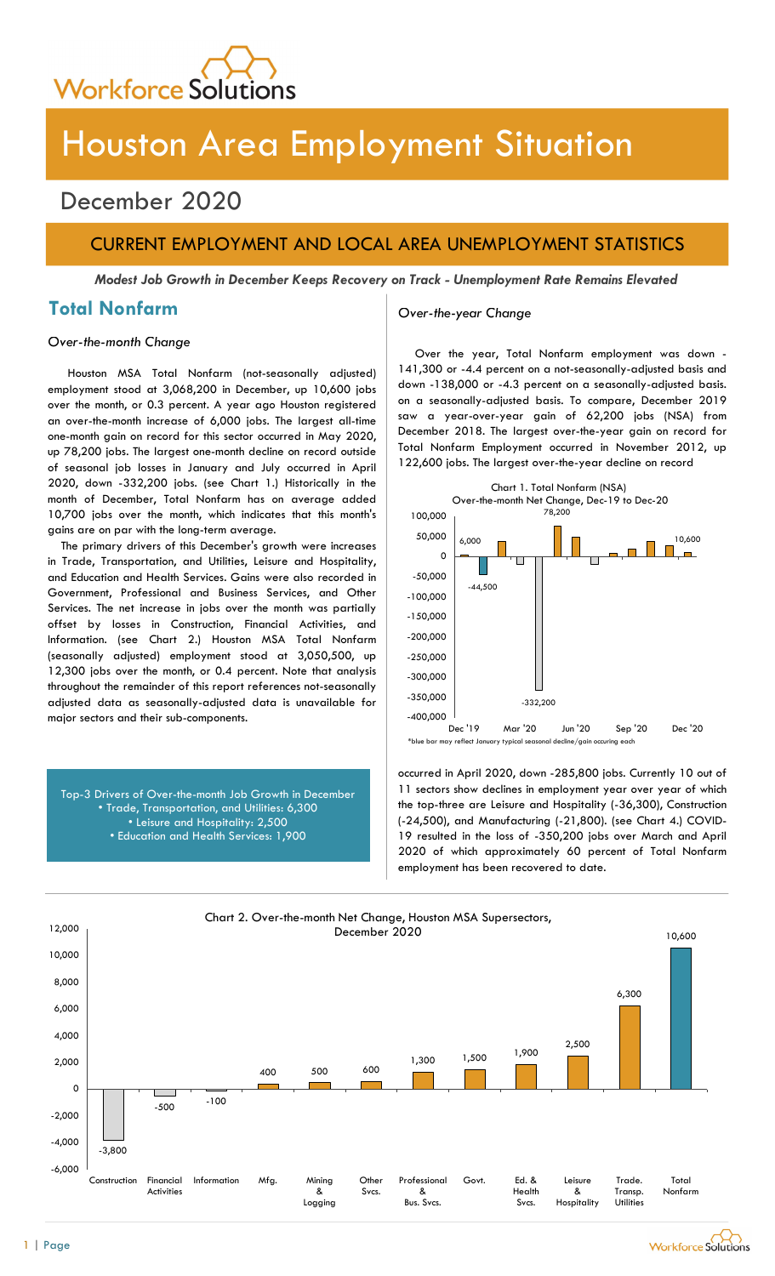

# Houston Area Employment Situation

## December 2020

## CURRENT EMPLOYMENT AND LOCAL AREA UNEMPLOYMENT STATISTICS

Modest Job Growth in December Keeps Recovery on Track - Unemployment Rate Remains Elevated

## Total Nonfarm and Over-the-year Change

### Over-the-month Change

Houston MSA Total Nonfarm (not-seasonally adjusted) employment stood at 3,068,200 in December, up 10,600 jobs over the month, or 0.3 percent. A year ago Houston registered an over-the-month increase of 6,000 jobs. The largest all-time one-month gain on record for this sector occurred in May 2020, up 78,200 jobs. The largest one-month decline on record outside of seasonal job losses in January and July occurred in April 2020, down -332,200 jobs. (see Chart 1.) Historically in the month of December, Total Nonfarm has on average added 10,700 jobs over the month, which indicates that this month's gains are on par with the long-term average.

The primary drivers of this December's growth were increases in Trade, Transportation, and Utilities, Leisure and Hospitality, and Education and Health Services. Gains were also recorded in Government, Professional and Business Services, and Other Services. The net increase in jobs over the month was partially offset by losses in Construction, Financial Activities, and Information. (see Chart 2.) Houston MSA Total Nonfarm (seasonally adjusted) employment stood at 3,050,500, up 12,300 jobs over the month, or 0.4 percent. Note that analysis throughout the remainder of this report references not-seasonally adjusted data as seasonally-adjusted data is unavailable for major sectors and their sub-components.

Top-3 Drivers of Over-the-month Job Growth in December • Trade, Transportation, and Utilities: 6,300 • Leisure and Hospitality: 2,500 • Education and Health Services: 1,900

Over the year, Total Nonfarm employment was down - 141,300 or -4.4 percent on a not-seasonally-adjusted basis and down -138,000 or -4.3 percent on a seasonally-adjusted basis. on a seasonally-adjusted basis. To compare, December 2019 saw a year-over-year gain of 62,200 jobs (NSA) from December 2018. The largest over-the-year gain on record for Total Nonfarm Employment occurred in November 2012, up 122,600 jobs. The largest over-the-year decline on record



occurred in April 2020, down -285,800 jobs. Currently 10 out of 11 sectors show declines in employment year over year of which the top-three are Leisure and Hospitality (-36,300), Construction (-24,500), and Manufacturing (-21,800). (see Chart 4.) COVID-19 resulted in the loss of -350,200 jobs over March and April 2020 of which approximately 60 percent of Total Nonfarm employment has been recovered to date.

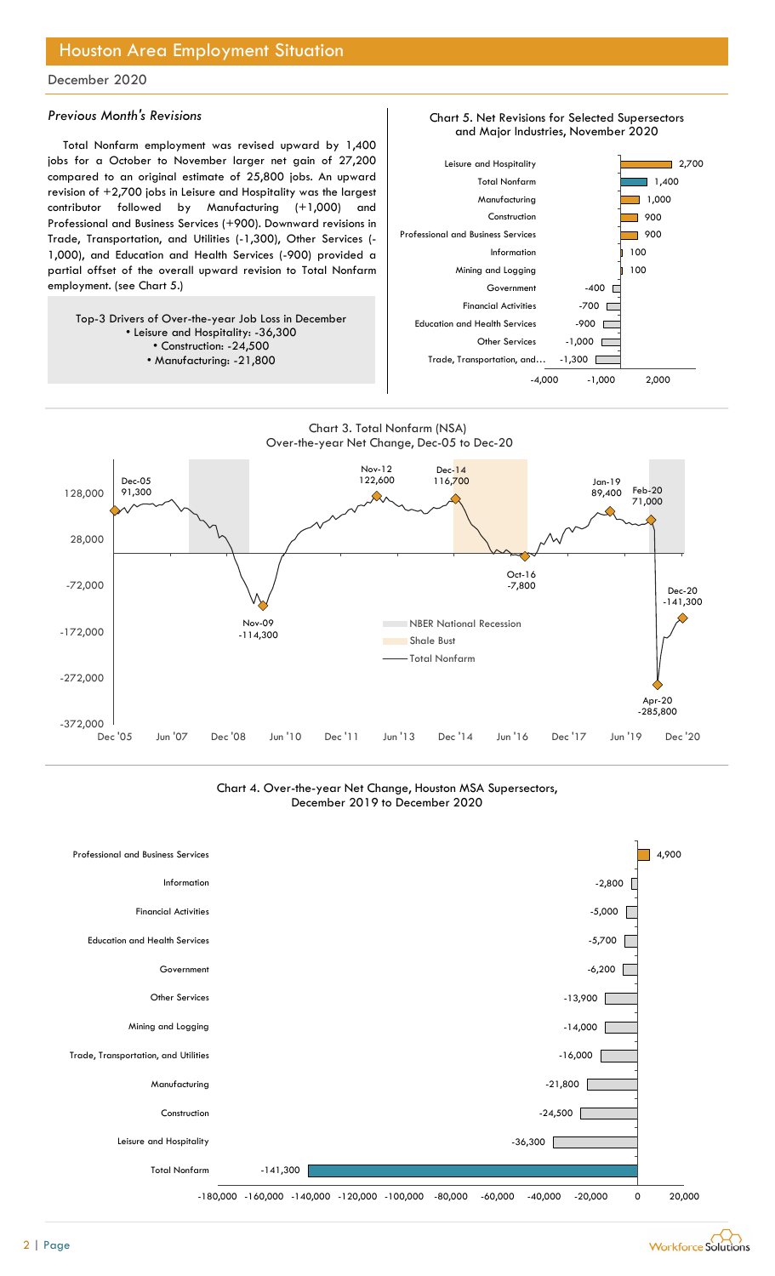## Houston Area Employment Situation

### December 2020

### Previous Month's Revisions

Total Nonfarm employment was revised upward by 1,400 jobs for a October to November larger net gain of 27,200 compared to an original estimate of 25,800 jobs. An upward revision of +2,700 jobs in Leisure and Hospitality was the largest contributor followed by Manufacturing (+1,000) and Professional and Business Services (+900). Downward revisions in Trade, Transportation, and Utilities (-1,300), Other Services (- 1,000), and Education and Health Services (-900) provided a partial offset of the overall upward revision to Total Nonfarm employment. (see Chart 5.)

Top-3 Drivers of Over-the-year Job Loss in December • Leisure and Hospitality: -36,300 • Construction: -24,500 • Manufacturing: -21,800



Chart 5. Net Revisions for Selected Supersectors



Chart 4. Over-the-year Net Change, Houston MSA Supersectors, December 2019 to December 2020



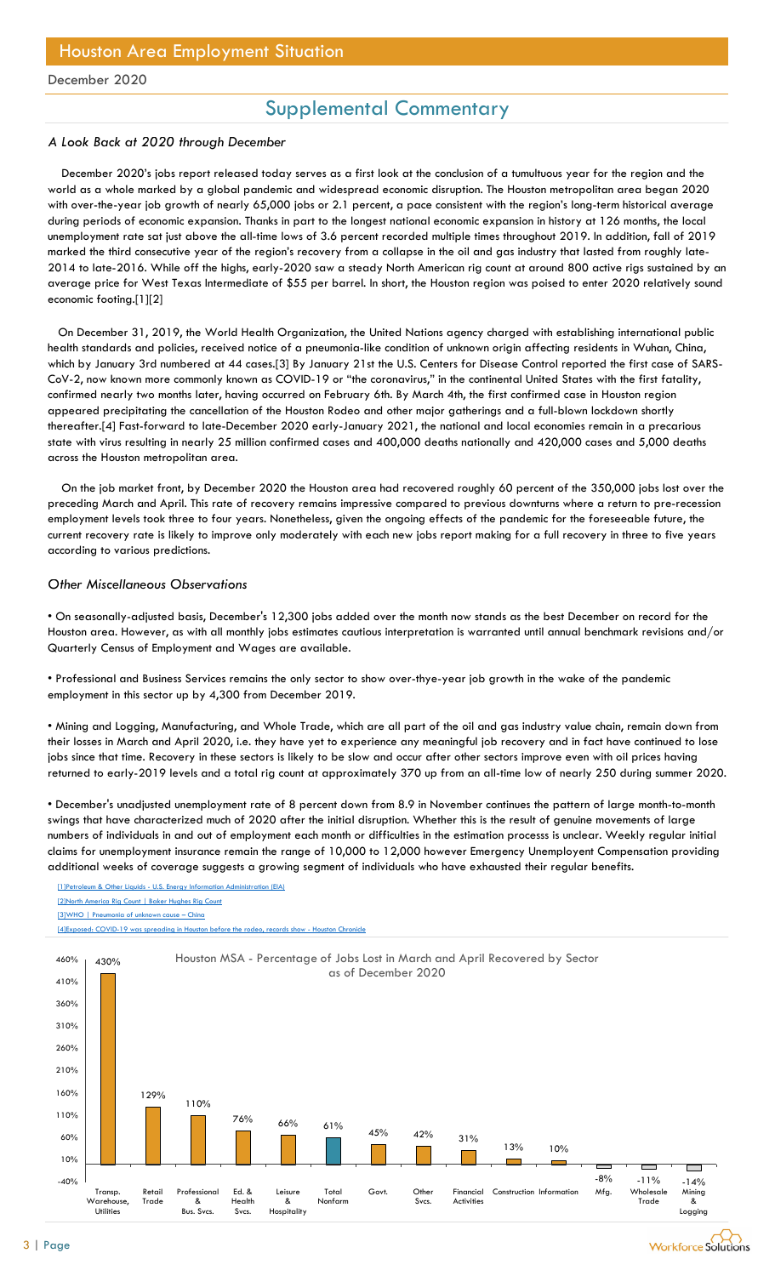## Supplemental Commentary

### A Look Back at 2020 through December

 December 2020's jobs report released today serves as a first look at the conclusion of a tumultuous year for the region and the world as a whole marked by a global pandemic and widespread economic disruption. The Houston metropolitan area began 2020 with over-the-year job growth of nearly 65,000 jobs or 2.1 percent, a pace consistent with the region's long-term historical average during periods of economic expansion. Thanks in part to the longest national economic expansion in history at 126 months, the local unemployment rate sat just above the all-time lows of 3.6 percent recorded multiple times throughout 2019. In addition, fall of 2019 marked the third consecutive year of the region's recovery from a collapse in the oil and gas industry that lasted from roughly late-2014 to late-2016. While off the highs, early-2020 saw a steady North American rig count at around 800 active rigs sustained by an average price for West Texas Intermediate of \$55 per barrel. In short, the Houston region was poised to enter 2020 relatively sound economic footing.[1][2]

 On December 31, 2019, the World Health Organization, the United Nations agency charged with establishing international public health standards and policies, received notice of a pneumonia-like condition of unknown origin affecting residents in Wuhan, China, which by January 3rd numbered at 44 cases.[3] By January 21st the U.S. Centers for Disease Control reported the first case of SARS-CoV-2, now known more commonly known as COVID-19 or "the coronavirus," in the continental United States with the first fatality, confirmed nearly two months later, having occurred on February 6th. By March 4th, the first confirmed case in Houston region appeared precipitating the cancellation of the Houston Rodeo and other major gatherings and a full-blown lockdown shortly thereafter.[4] Fast-forward to late-December 2020 early-January 2021, the national and local economies remain in a precarious state with virus resulting in nearly 25 million confirmed cases and 400,000 deaths nationally and 420,000 cases and 5,000 deaths across the Houston metropolitan area.

 On the job market front, by December 2020 the Houston area had recovered roughly 60 percent of the 350,000 jobs lost over the preceding March and April. This rate of recovery remains impressive compared to previous downturns where a return to pre-recession employment levels took three to four years. Nonetheless, given the ongoing effects of the pandemic for the foreseeable future, the current recovery rate is likely to improve only moderately with each new jobs report making for a full recovery in three to five years according to various predictions.

### Other Miscellaneous Observations

[1]Petroleum & Other Liquids - U.S. Energy Information Administration (EIA)

[2]North America Rig Count | Baker Hughes Rig Count

• On seasonally-adjusted basis, December's 12,300 jobs added over the month now stands as the best December on record for the Houston area. However, as with all monthly jobs estimates cautious interpretation is warranted until annual benchmark revisions and/or Quarterly Census of Employment and Wages are available.

• Professional and Business Services remains the only sector to show over-thye-year job growth in the wake of the pandemic employment in this sector up by 4,300 from December 2019.

• Mining and Logging, Manufacturing, and Whole Trade, which are all part of the oil and gas industry value chain, remain down from their losses in March and April 2020, i.e. they have yet to experience any meaningful job recovery and in fact have continued to lose jobs since that time. Recovery in these sectors is likely to be slow and occur after other sectors improve even with oil prices having returned to early-2019 levels and a total rig count at approximately 370 up from an all-time low of nearly 250 during summer 2020.

• December's unadjusted unemployment rate of 8 percent down from 8.9 in November continues the pattern of large month-to-month swings that have characterized much of 2020 after the initial disruption. Whether this is the result of genuine movements of large numbers of individuals in and out of employment each month or difficulties in the estimation processs is unclear. Weekly regular initial claims for unemployment insurance remain the range of 10,000 to 12,000 however Emergency Unemployent Compensation providing additional weeks of coverage suggests a growing segment of individuals who have exhausted their regular benefits.

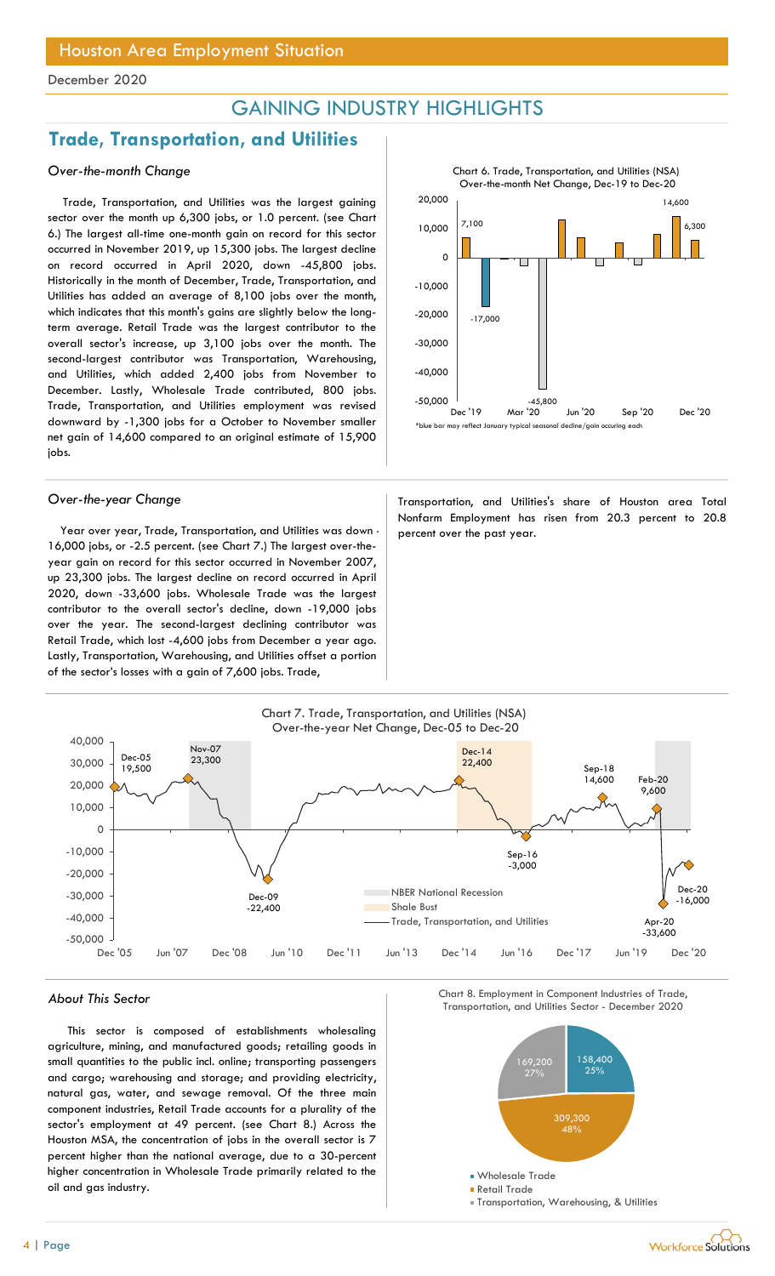## GAINING INDUSTRY HIGHLIGHTS

## Trade, Transportation, and Utilities

### Over-the-month Change

Trade, Transportation, and Utilities was the largest gaining sector over the month up 6,300 jobs, or 1.0 percent. (see Chart 6.) The largest all-time one-month gain on record for this sector occurred in November 2019, up 15,300 jobs. The largest decline on record occurred in April 2020, down -45,800 jobs. Historically in the month of December, Trade, Transportation, and Utilities has added an average of 8,100 jobs over the month, which indicates that this month's gains are slightly below the longterm average. Retail Trade was the largest contributor to the overall sector's increase, up 3,100 jobs over the month. The second-largest contributor was Transportation, Warehousing, and Utilities, which added 2,400 jobs from November to December. Lastly, Wholesale Trade contributed, 800 jobs. Trade, Transportation, and Utilities employment was revised downward by -1,300 jobs for a October to November smaller net gain of 14,600 compared to an original estimate of 15,900 jobs.

Year over year, Trade, Transportation, and Utilities was down  $\cdot$  percent over the past year. 16,000 jobs, or -2.5 percent. (see Chart 7.) The largest over-theyear gain on record for this sector occurred in November 2007, up 23,300 jobs. The largest decline on record occurred in April 2020, down -33,600 jobs. Wholesale Trade was the largest contributor to the overall sector's decline, down -19,000 jobs over the year. The second-largest declining contributor was Retail Trade, which lost -4,600 jobs from December a year ago. Lastly, Transportation, Warehousing, and Utilities offset a portion of the sector's losses with a gain of 7,600 jobs. Trade,



Over-the-year Change Transportation, and Utilities's share of Houston area Total Nonfarm Employment has risen from 20.3 percent to 20.8



This sector is composed of establishments wholesaling agriculture, mining, and manufactured goods; retailing goods in small quantities to the public incl. online; transporting passengers and cargo; warehousing and storage; and providing electricity, natural gas, water, and sewage removal. Of the three main component industries, Retail Trade accounts for a plurality of the sector's employment at 49 percent. (see Chart 8.) Across the Houston MSA, the concentration of jobs in the overall sector is 7 percent higher than the national average, due to a 30-percent higher concentration in Wholesale Trade primarily related to the oil and gas industry.





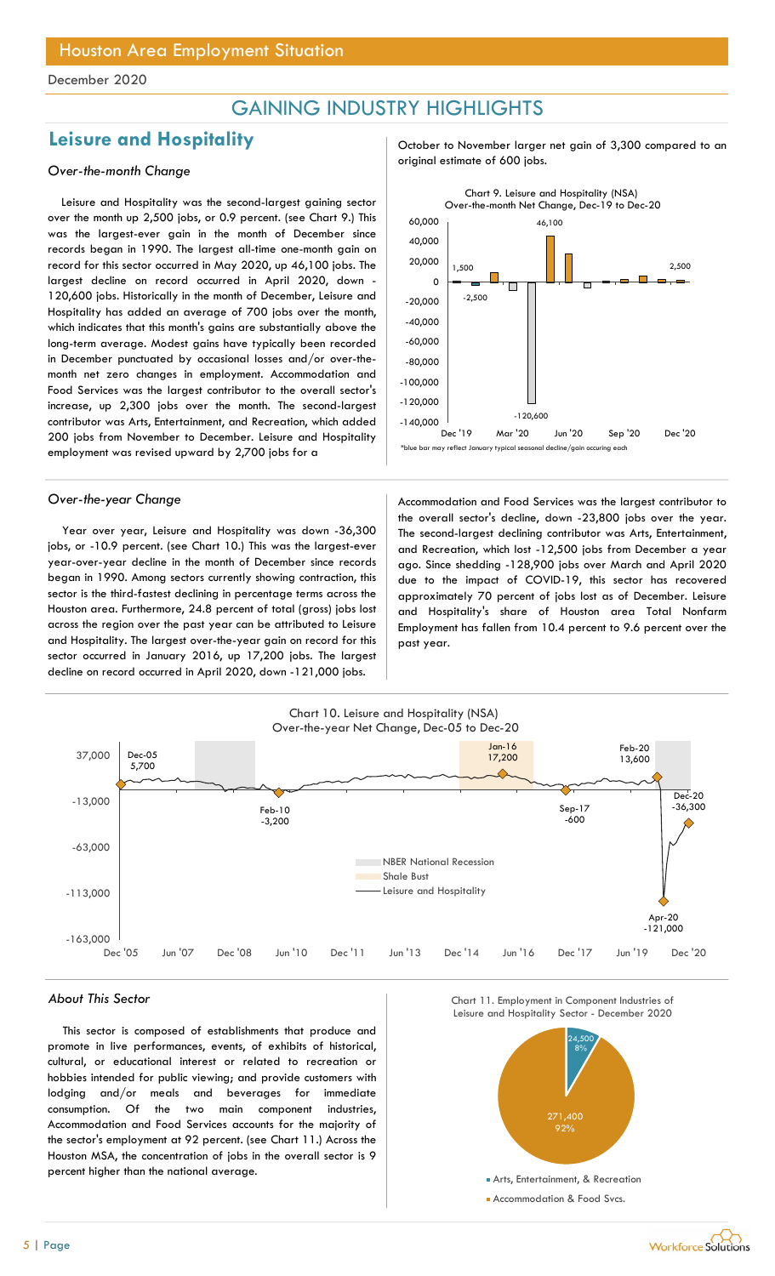## GAINING INDUSTRY HIGHLIGHTS

## Leisure and Hospitality and  $\frac{1}{2}$  October to November larger net gain of 3,300 compared to an

Leisure and Hospitality was the second-largest gaining sector over the month up 2,500 jobs, or 0.9 percent. (see Chart 9.) This was the largest-ever gain in the month of December since records began in 1990. The largest all-time one-month gain on record for this sector occurred in May 2020, up 46,100 jobs. The largest decline on record occurred in April 2020, down - 120,600 jobs. Historically in the month of December, Leisure and Hospitality has added an average of 700 jobs over the month, which indicates that this month's gains are substantially above the long-term average. Modest gains have typically been recorded in December punctuated by occasional losses and/or over-themonth net zero changes in employment. Accommodation and Food Services was the largest contributor to the overall sector's increase, up 2,300 jobs over the month. The second-largest contributor was Arts, Entertainment, and Recreation, which added 200 jobs from November to December. Leisure and Hospitality employment was revised upward by 2,700 jobs for a

Year over year, Leisure and Hospitality was down -36,300 jobs, or -10.9 percent. (see Chart 10.) This was the largest-ever year-over-year decline in the month of December since records began in 1990. Among sectors currently showing contraction, this sector is the third-fastest declining in percentage terms across the Houston area. Furthermore, 24.8 percent of total (gross) jobs lost across the region over the past year can be attributed to Leisure and Hospitality. The largest over-the-year gain on record for this sector occurred in January 2016, up 17,200 jobs. The largest decline on record occurred in April 2020, down -121,000 jobs.

original estimate of 600 jobs. Over-the-month Change



Over-the-year Change and Theorem Accommodation and Food Services was the largest contributor to the overall sector's decline, down -23,800 jobs over the year. The second-largest declining contributor was Arts, Entertainment, and Recreation, which lost -12,500 jobs from December a year ago. Since shedding -128,900 jobs over March and April 2020 due to the impact of COVID-19, this sector has recovered approximately 70 percent of jobs lost as of December. Leisure and Hospitality's share of Houston area Total Nonfarm Employment has fallen from 10.4 percent to 9.6 percent over the past year.



This sector is composed of establishments that produce and promote in live performances, events, of exhibits of historical, cultural, or educational interest or related to recreation or hobbies intended for public viewing; and provide customers with lodging and/or meals and beverages for immediate consumption. Of the two main component industries, Accommodation and Food Services accounts for the majority of the sector's employment at 92 percent. (see Chart 11.) Across the Houston MSA, the concentration of jobs in the overall sector is 9 percent higher than the national average.





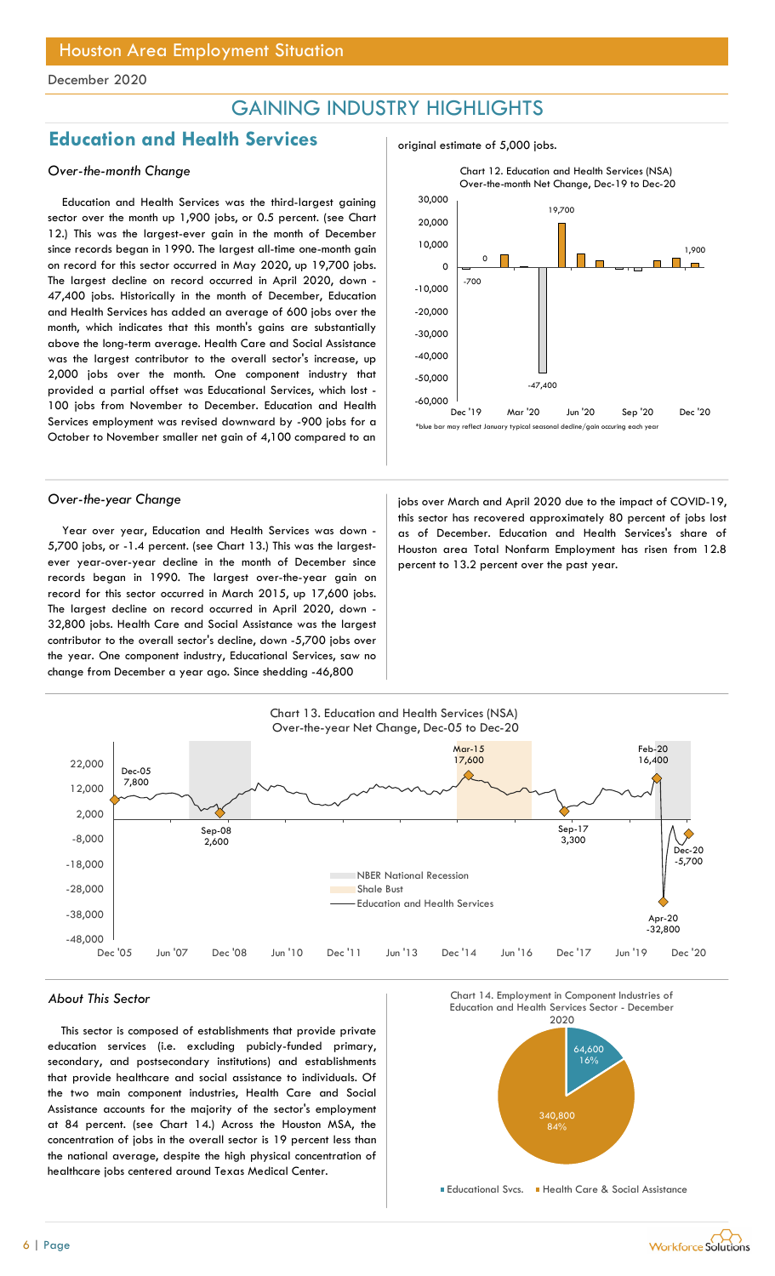## GAINING INDUSTRY HIGHLIGHTS

## **Education and Health Services** and  $\frac{1}{2}$  original estimate of 5,000 jobs.

### Over-the-month Change

Education and Health Services was the third-largest gaining sector over the month up 1,900 jobs, or 0.5 percent. (see Chart 12.) This was the largest-ever gain in the month of December since records began in 1990. The largest all-time one-month gain on record for this sector occurred in May 2020, up 19,700 jobs. The largest decline on record occurred in April 2020, down - 47,400 jobs. Historically in the month of December, Education and Health Services has added an average of 600 jobs over the month, which indicates that this month's gains are substantially above the long-term average. Health Care and Social Assistance was the largest contributor to the overall sector's increase, up 2,000 jobs over the month. One component industry that provided a partial offset was Educational Services, which lost - 100 jobs from November to December. Education and Health Services employment was revised downward by -900 jobs for a October to November smaller net gain of 4,100 compared to an

Year over year, Education and Health Services was down - 5,700 jobs, or -1.4 percent. (see Chart 13.) This was the largestever year-over-year decline in the month of December since records began in 1990. The largest over-the-year gain on record for this sector occurred in March 2015, up 17,600 jobs. The largest decline on record occurred in April 2020, down - 32,800 jobs. Health Care and Social Assistance was the largest contributor to the overall sector's decline, down -5,700 jobs over the year. One component industry, Educational Services, saw no change from December a year ago. Since shedding -46,800



Over-the-year Change in the impact of COVID-19, jobs over March and April 2020 due to the impact of COVID-19, this sector has recovered approximately 80 percent of jobs lost as of December. Education and Health Services's share of Houston area Total Nonfarm Employment has risen from 12.8 percent to 13.2 percent over the past year.



This sector is composed of establishments that provide private education services (i.e. excluding pubicly-funded primary, secondary, and postsecondary institutions) and establishments that provide healthcare and social assistance to individuals. Of the two main component industries, Health Care and Social Assistance accounts for the majority of the sector's employment at 84 percent. (see Chart 14.) Across the Houston MSA, the concentration of jobs in the overall sector is 19 percent less than the national average, despite the high physical concentration of healthcare jobs centered around Texas Medical Center.

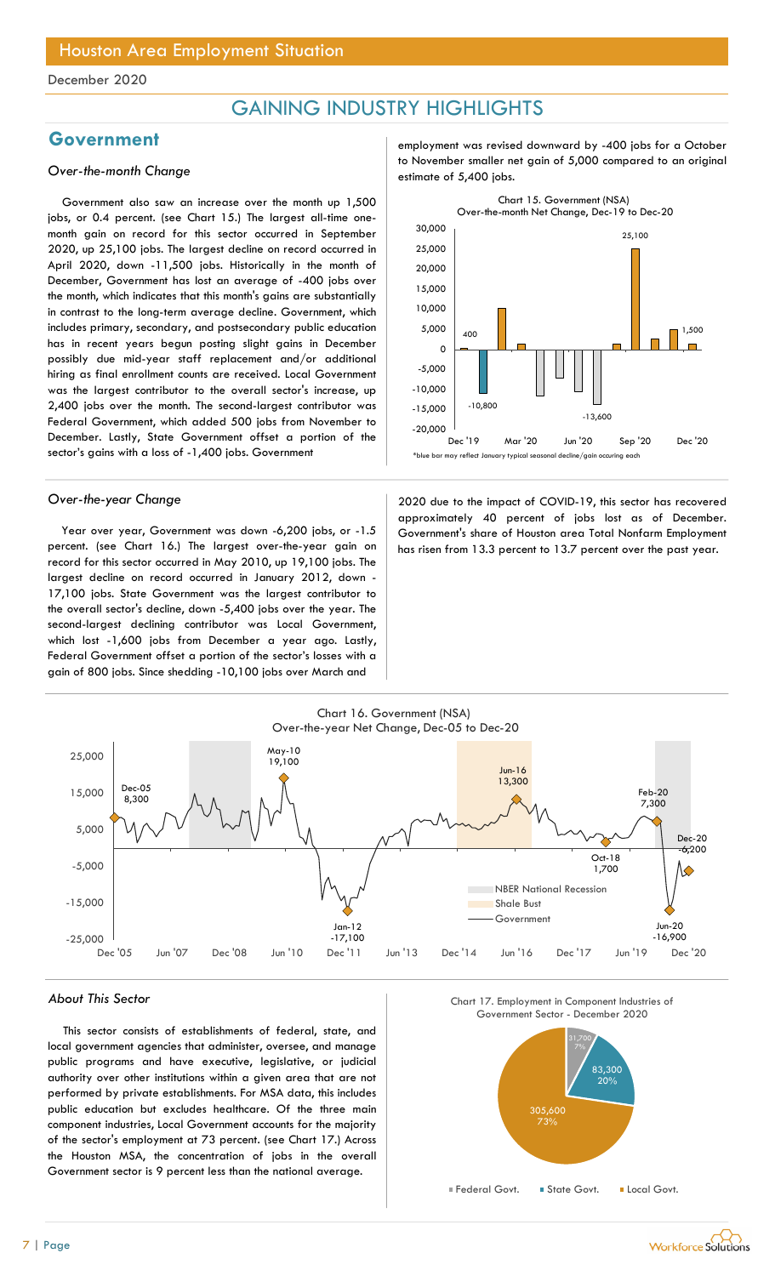## GAINING INDUSTRY HIGHLIGHTS

Government also saw an increase over the month up 1,500 jobs, or 0.4 percent. (see Chart 15.) The largest all-time onemonth gain on record for this sector occurred in September 2020, up 25,100 jobs. The largest decline on record occurred in April 2020, down -11,500 jobs. Historically in the month of December, Government has lost an average of -400 jobs over the month, which indicates that this month's gains are substantially in contrast to the long-term average decline. Government, which includes primary, secondary, and postsecondary public education has in recent years begun posting slight gains in December possibly due mid-year staff replacement and/or additional hiring as final enrollment counts are received. Local Government was the largest contributor to the overall sector's increase, up 2,400 jobs over the month. The second-largest contributor was Federal Government, which added 500 jobs from November to December. Lastly, State Government offset a portion of the sector's gains with a loss of -1,400 jobs. Government

Year over year, Government was down -6,200 jobs, or -1.5 percent. (see Chart 16.) The largest over-the-year gain on record for this sector occurred in May 2010, up 19,100 jobs. The largest decline on record occurred in January 2012, down - 17,100 jobs. State Government was the largest contributor to the overall sector's decline, down -5,400 jobs over the year. The second-largest declining contributor was Local Government, which lost -1,600 jobs from December a year ago. Lastly, Federal Government offset a portion of the sector's losses with a gain of 800 jobs. Since shedding -10,100 jobs over March and

Government employment was revised downward by -400 jobs for a October to November smaller net gain of 5,000 compared to an original<br>estimate of 5,400 jobs.



Over-the-year Change 2020 due to the impact of COVID-19, this sector has recovered approximately 40 percent of jobs lost as of December. Government's share of Houston area Total Nonfarm Employment has risen from 13.3 percent to 13.7 percent over the past year.



#### About This Sector

This sector consists of establishments of federal, state, and local government agencies that administer, oversee, and manage public programs and have executive, legislative, or judicial authority over other institutions within a given area that are not performed by private establishments. For MSA data, this includes public education but excludes healthcare. Of the three main component industries, Local Government accounts for the majority of the sector's employment at 73 percent. (see Chart 17.) Across the Houston MSA, the concentration of jobs in the overall Government sector is 9 percent less than the national average.





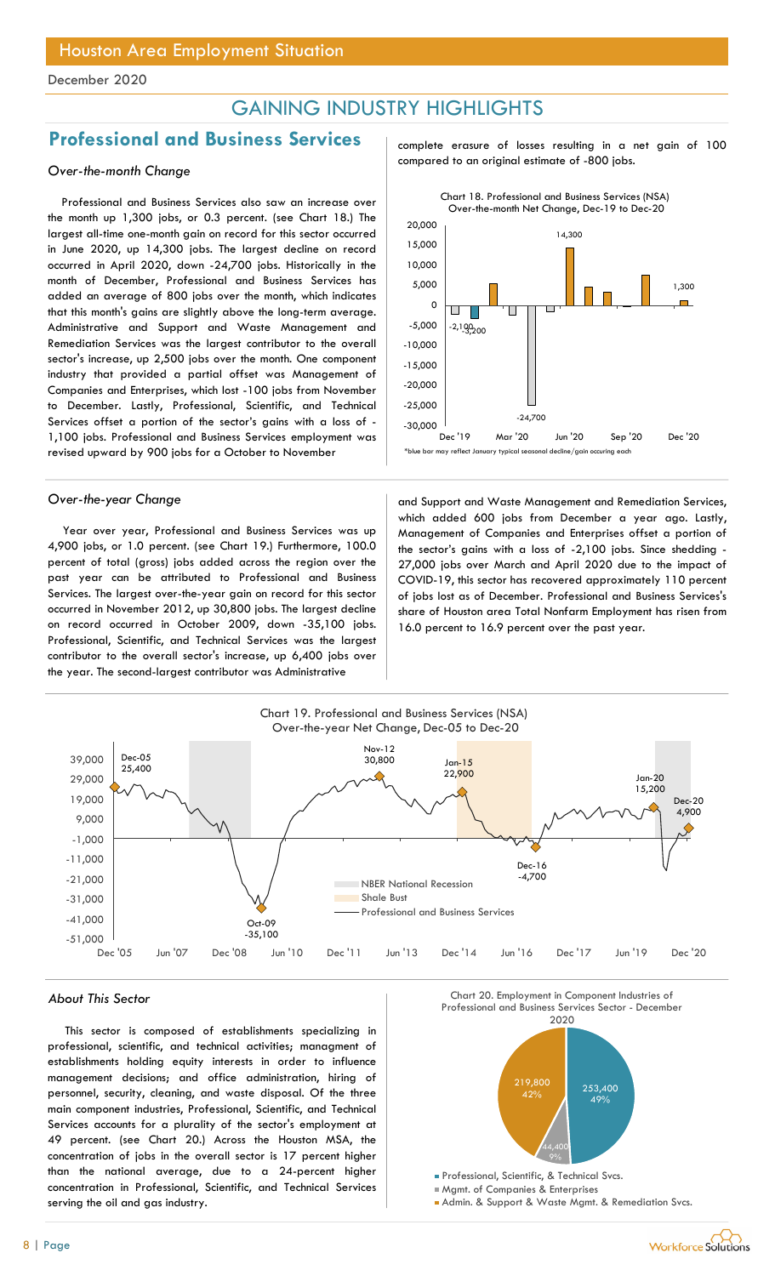## GAINING INDUSTRY HIGHLIGHTS

## Professional and Business Services and complete erasure of losses resulting in a net gain of 100

Professional and Business Services also saw an increase over the month up 1,300 jobs, or 0.3 percent. (see Chart 18.) The largest all-time one-month gain on record for this sector occurred in June 2020, up 14,300 jobs. The largest decline on record occurred in April 2020, down -24,700 jobs. Historically in the month of December, Professional and Business Services has added an average of 800 jobs over the month, which indicates that this month's gains are slightly above the long-term average. Administrative and Support and Waste Management and Remediation Services was the largest contributor to the overall sector's increase, up 2,500 jobs over the month. One component industry that provided a partial offset was Management of Companies and Enterprises, which lost -100 jobs from November to December. Lastly, Professional, Scientific, and Technical Services offset a portion of the sector's gains with a loss of - 1,100 jobs. Professional and Business Services employment was revised upward by 900 jobs for a October to November

Year over year, Professional and Business Services was up 4,900 jobs, or 1.0 percent. (see Chart 19.) Furthermore, 100.0 percent of total (gross) jobs added across the region over the past year can be attributed to Professional and Business Services. The largest over-the-year gain on record for this sector occurred in November 2012, up 30,800 jobs. The largest decline on record occurred in October 2009, down -35,100 jobs. Professional, Scientific, and Technical Services was the largest contributor to the overall sector's increase, up 6,400 jobs over the year. The second-largest contributor was Administrative

compared to an original estimate of -800 jobs. Over-the-month Change



Over-the-year Change and Support and Waste Management and Remediation Services, which added 600 jobs from December a year ago. Lastly, Management of Companies and Enterprises offset a portion of the sector's gains with a loss of -2,100 jobs. Since shedding - 27,000 jobs over March and April 2020 due to the impact of COVID-19, this sector has recovered approximately 110 percent of jobs lost as of December. Professional and Business Services's share of Houston area Total Nonfarm Employment has risen from 16.0 percent to 16.9 percent over the past year.



#### About This Sector

This sector is composed of establishments specializing in professional, scientific, and technical activities; managment of establishments holding equity interests in order to influence management decisions; and office administration, hiring of personnel, security, cleaning, and waste disposal. Of the three main component industries, Professional, Scientific, and Technical Services accounts for a plurality of the sector's employment at 49 percent. (see Chart 20.) Across the Houston MSA, the concentration of jobs in the overall sector is 17 percent higher than the national average, due to a 24-percent higher concentration in Professional, Scientific, and Technical Services serving the oil and gas industry.



Mgmt. of Companies & Enterprises

Admin. & Support & Waste Mgmt. & Remediation Svcs.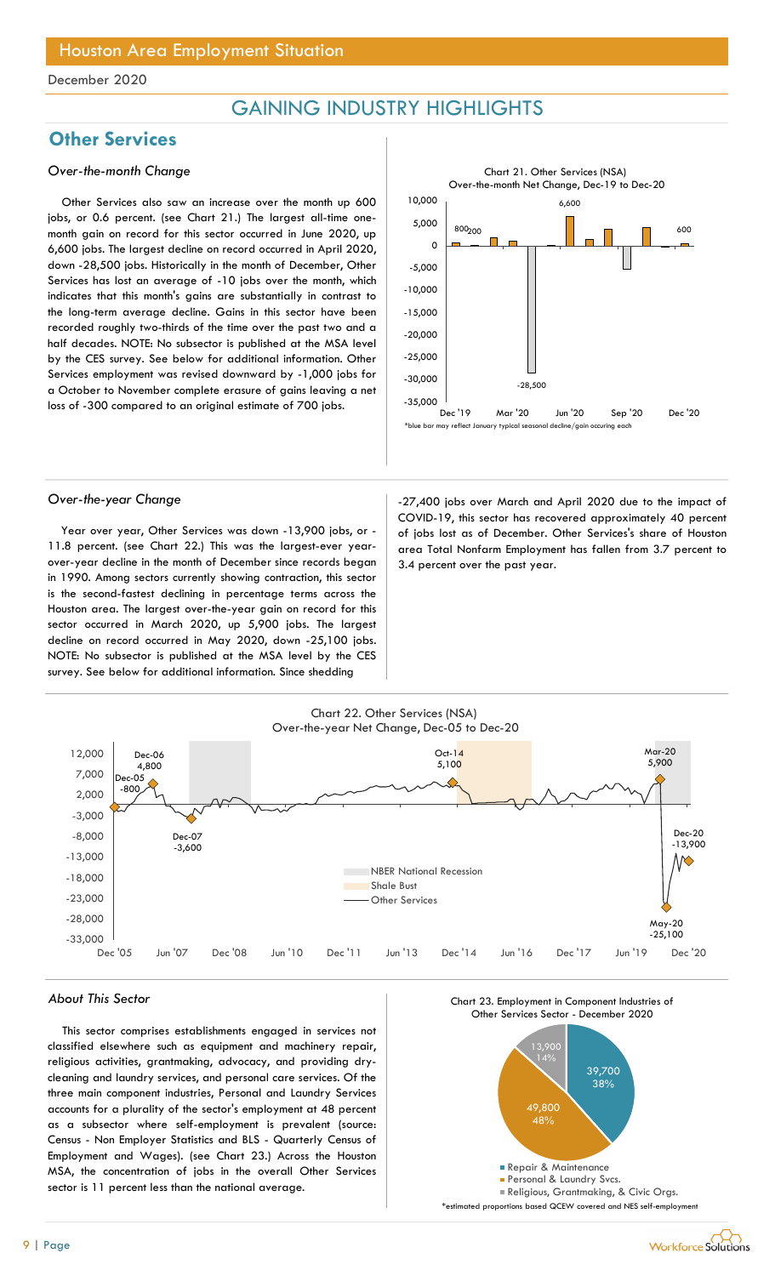## GAINING INDUSTRY HIGHLIGHTS

## **Other Services**

### Over-the-month Change

Other Services also saw an increase over the month up 600 jobs, or 0.6 percent. (see Chart 21.) The largest all-time onemonth gain on record for this sector occurred in June 2020, up 6,600 jobs. The largest decline on record occurred in April 2020, down -28,500 jobs. Historically in the month of December, Other Services has lost an average of -10 jobs over the month, which indicates that this month's gains are substantially in contrast to the long-term average decline. Gains in this sector have been recorded roughly two-thirds of the time over the past two and a half decades. NOTE: No subsector is published at the MSA level by the CES survey. See below for additional information. Other Services employment was revised downward by -1,000 jobs for a October to November complete erasure of gains leaving a net loss of -300 compared to an original estimate of 700 jobs.



Year over year, Other Services was down -13,900 jobs, or - 11.8 percent. (see Chart 22.) This was the largest-ever yearover-year decline in the month of December since records began in 1990. Among sectors currently showing contraction, this sector is the second-fastest declining in percentage terms across the Houston area. The largest over-the-year gain on record for this sector occurred in March 2020, up 5,900 jobs. The largest decline on record occurred in May 2020, down -25,100 jobs. NOTE: No subsector is published at the MSA level by the CES survey. See below for additional information. Since shedding

Over-the-year Change and Change and Cover-the-year Change of the impact of COVID-19, this sector has recovered approximately 40 percent of jobs lost as of December. Other Services's share of Houston area Total Nonfarm Employment has fallen from 3.7 percent to 3.4 percent over the past year.



#### About This Sector

This sector comprises establishments engaged in services not classified elsewhere such as equipment and machinery repair, religious activities, grantmaking, advocacy, and providing drycleaning and laundry services, and personal care services. Of the three main component industries, Personal and Laundry Services accounts for a plurality of the sector's employment at 48 percent as a subsector where self-employment is prevalent (source: Census - Non Employer Statistics and BLS - Quarterly Census of Employment and Wages). (see Chart 23.) Across the Houston MSA, the concentration of jobs in the overall Other Services sector is 11 percent less than the national average.





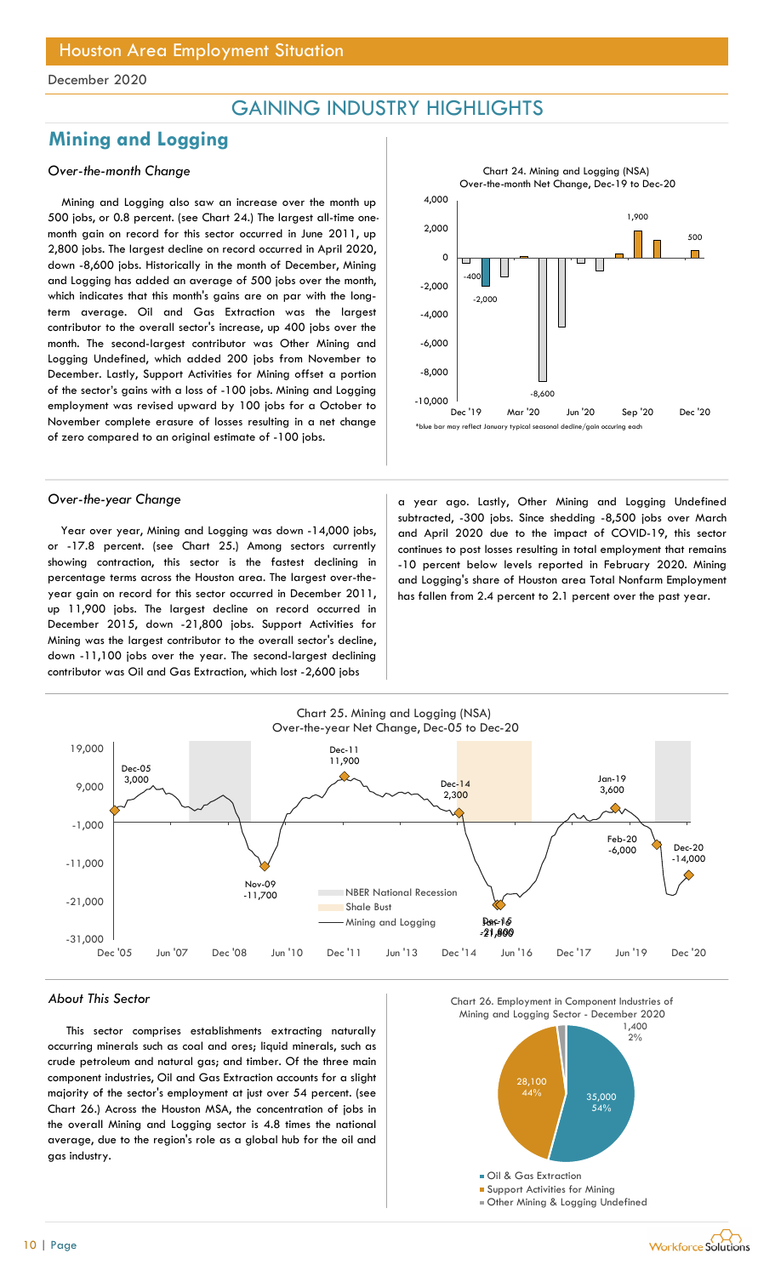## GAINING INDUSTRY HIGHLIGHTS

## Mining and Logging

## Over-the-month Change

Mining and Logging also saw an increase over the month up 500 jobs, or 0.8 percent. (see Chart 24.) The largest all-time onemonth gain on record for this sector occurred in June 2011, up 2,800 jobs. The largest decline on record occurred in April 2020, down -8,600 jobs. Historically in the month of December, Mining and Logging has added an average of 500 jobs over the month, which indicates that this month's gains are on par with the longterm average. Oil and Gas Extraction was the largest contributor to the overall sector's increase, up 400 jobs over the month. The second-largest contributor was Other Mining and Logging Undefined, which added 200 jobs from November to December. Lastly, Support Activities for Mining offset a portion of the sector's gains with a loss of -100 jobs. Mining and Logging employment was revised upward by 100 jobs for a October to November complete erasure of losses resulting in a net change of zero compared to an original estimate of -100 jobs.

Year over year, Mining and Logging was down -14,000 jobs, or -17.8 percent. (see Chart 25.) Among sectors currently showing contraction, this sector is the fastest declining in percentage terms across the Houston area. The largest over-theyear gain on record for this sector occurred in December 2011, up 11,900 jobs. The largest decline on record occurred in December 2015, down -21,800 jobs. Support Activities for Mining was the largest contributor to the overall sector's decline, down -11,100 jobs over the year. The second-largest declining contributor was Oil and Gas Extraction, which lost -2,600 jobs

2,000  $-400$   $-1$   $-1$ -2,000 -8,600 1,900 500 -10,000 bec'le by the sep to the 19 Mar '20 Jun '20 Sep '20 -8,000 -6,000 -4,000 -2,000 ㅇ├<del>─────────</del>────────<del>────</del> 2,000  $4,000$  and  $4,000$  and  $4,000$  and  $4,000$  and  $4,000$  and  $4,000$  and  $4,000$  and  $4,000$  and  $4,000$  and  $4,000$  and  $4,000$  and  $4,000$  and  $4,000$  and  $4,000$  and  $4,000$  and  $4,000$  and  $4,000$  and  $4,000$  and  $4,00$ Chart 24. Mining and Logging (NSA)<br>
Over-the-month Net Change, Dec-19 to Dec-20<br>
1,900<br>
2,000<br>
2,000<br>
Dec '19 Mar '20 Jun '20 Sep '20 Dec '20<br>
Dec '19 Mar '20 Jun '20 Sep '20 Dec '20<br>
UPO Lastly. Other Mining, and Loggine Over-the-month Net Change, Dec-19 to Dec-20  $+$  HIGHLIGHTS<br>
Over-the-month Net Change, Dec-19 to Dec-20<br>
4,000<br>
2,000<br>
2,000<br>
4,000<br>
-8,000<br>
-8,000<br>
-8,000<br>
-8,000<br>
-8,000<br>
-8,000<br>
-8,000<br>
-8,000<br>
-8,000<br>
-8,000<br>
-8,000<br>
-8,000<br>
-8,000<br>
-8,000<br>
-8,000<br>
-8,000<br>
-8,0

Chart 24. Mining and Logging (NSA)

Over-the-year Change a strategies are a strategies of a year ago. Lastly, Other Mining and Logging Undefined subtracted, -300 jobs. Since shedding -8,500 jobs over March and April 2020 due to the impact of COVID-19, this sector continues to post losses resulting in total employment that remains -10 percent below levels reported in February 2020. Mining and Logging's share of Houston area Total Nonfarm Employment has fallen from 2.4 percent to 2.1 percent over the past year.



#### About This Sector

This sector comprises establishments extracting naturally occurring minerals such as coal and ores; liquid minerals, such as crude petroleum and natural gas; and timber. Of the three main component industries, Oil and Gas Extraction accounts for a slight majority of the sector's employment at just over 54 percent. (see Chart 26.) Across the Houston MSA, the concentration of jobs in the overall Mining and Logging sector is 4.8 times the national average, due to the region's role as a global hub for the oil and gas industry.

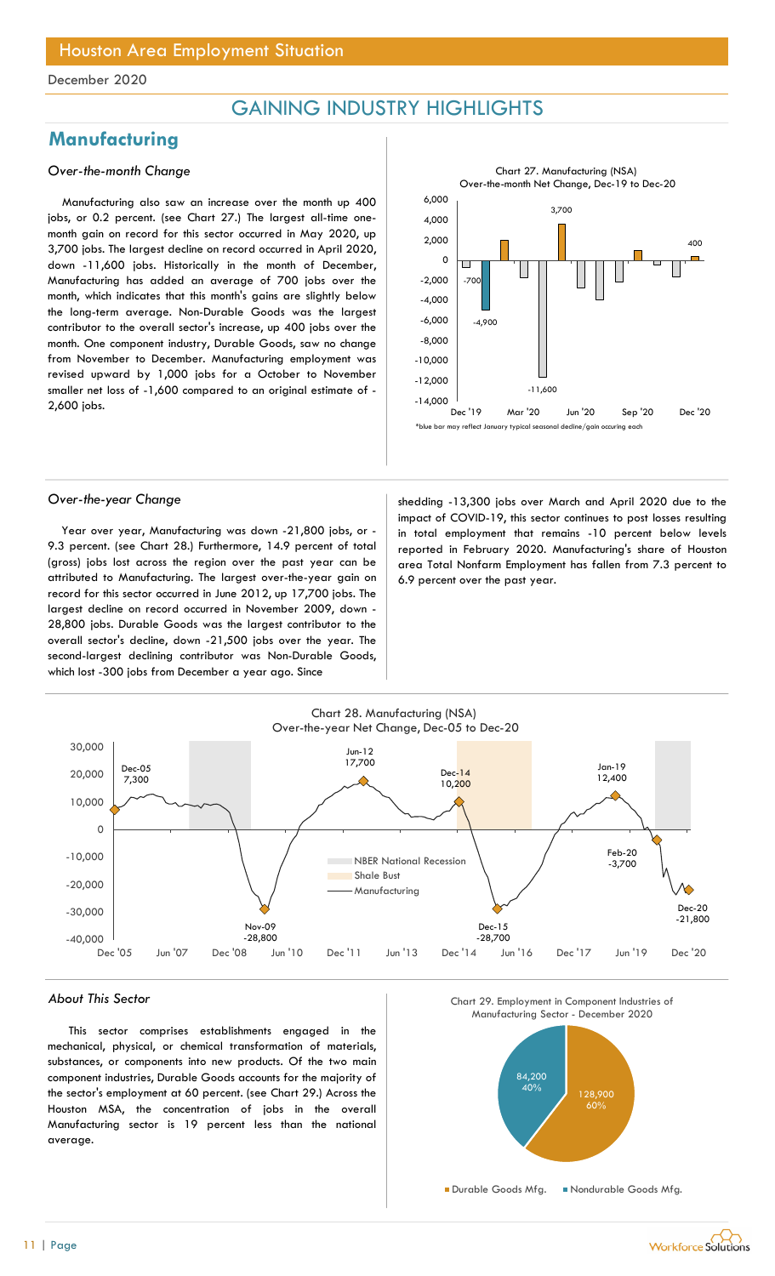## GAINING INDUSTRY HIGHLIGHTS

## **Manufacturing**

### Over-the-month Change

Manufacturing also saw an increase over the month up 400 jobs, or 0.2 percent. (see Chart 27.) The largest all-time onemonth gain on record for this sector occurred in May 2020, up 3,700 jobs. The largest decline on record occurred in April 2020, down -11,600 jobs. Historically in the month of December, Manufacturing has added an average of 700 jobs over the month, which indicates that this month's gains are slightly below the long-term average. Non-Durable Goods was the largest contributor to the overall sector's increase, up 400 jobs over the month. One component industry, Durable Goods, saw no change from November to December. Manufacturing employment was revised upward by 1,000 jobs for a October to November smaller net loss of -1,600 compared to an original estimate of - 2,600 jobs.



Year over year, Manufacturing was down -21,800 jobs, or - 9.3 percent. (see Chart 28.) Furthermore, 14.9 percent of total (gross) jobs lost across the region over the past year can be attributed to Manufacturing. The largest over-the-year gain on record for this sector occurred in June 2012, up 17,700 jobs. The largest decline on record occurred in November 2009, down - 28,800 jobs. Durable Goods was the largest contributor to the overall sector's decline, down -21,500 jobs over the year. The second-largest declining contributor was Non-Durable Goods, which lost -300 jobs from December a year ago. Since

Over-the-year Change shedding -13,300 jobs over March and April 2020 due to the impact of COVID-19, this sector continues to post losses resulting in total employment that remains -10 percent below levels reported in February 2020. Manufacturing's share of Houston area Total Nonfarm Employment has fallen from 7.3 percent to 6.9 percent over the past year.



#### About This Sector

This sector comprises establishments engaged in the mechanical, physical, or chemical transformation of materials, substances, or components into new products. Of the two main component industries, Durable Goods accounts for the majority of the sector's employment at 60 percent. (see Chart 29.) Across the Houston MSA, the concentration of jobs in the overall Manufacturing sector is 19 percent less than the national average.

Chart 29. Employment in Component Industries of

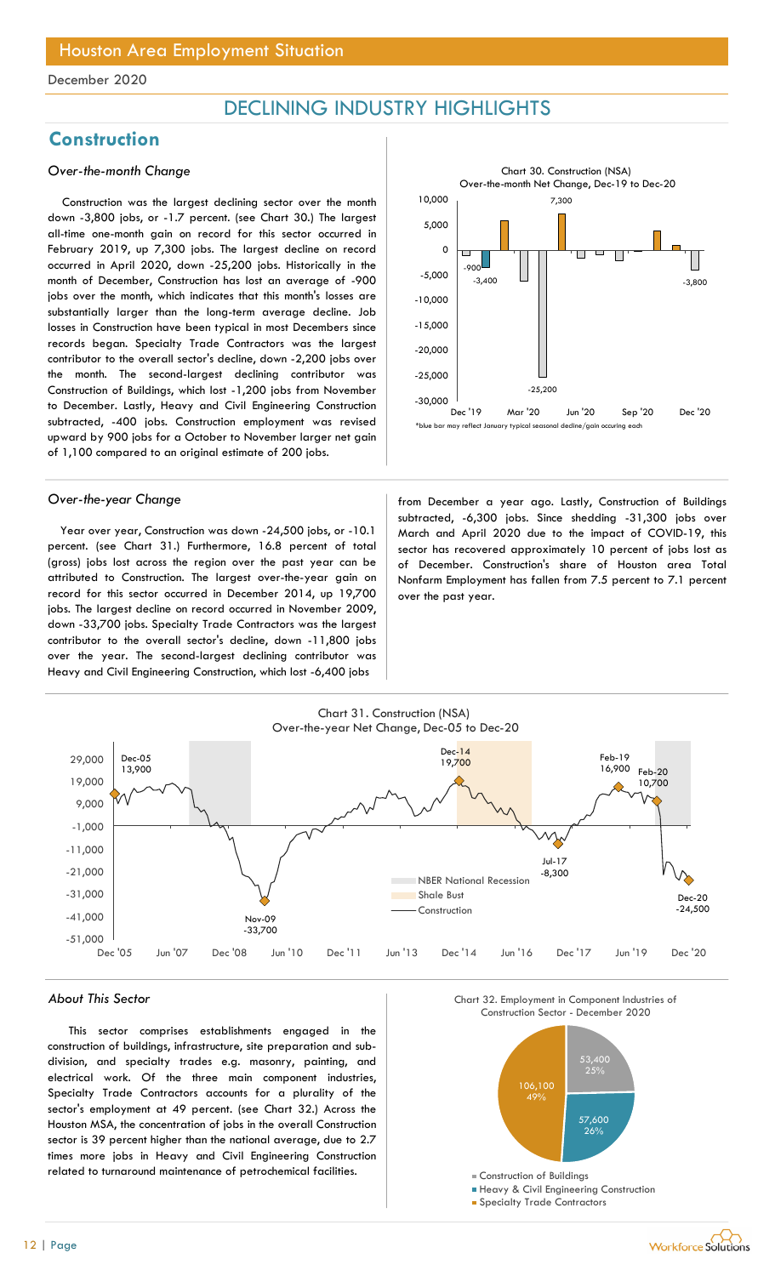## DECLINING INDUSTRY HIGHLIGHTS

## **Construction**

### Over-the-month Change

Construction was the largest declining sector over the month down -3,800 jobs, or -1.7 percent. (see Chart 30.) The largest all-time one-month gain on record for this sector occurred in February 2019, up 7,300 jobs. The largest decline on record occurred in April 2020, down -25,200 jobs. Historically in the month of December, Construction has lost an average of -900 jobs over the month, which indicates that this month's losses are substantially larger than the long-term average decline. Job losses in Construction have been typical in most Decembers since records began. Specialty Trade Contractors was the largest contributor to the overall sector's decline, down -2,200 jobs over the month. The second-largest declining contributor was Construction of Buildings, which lost -1,200 jobs from November to December. Lastly, Heavy and Civil Engineering Construction subtracted, -400 jobs. Construction employment was revised upward by 900 jobs for a October to November larger net gain of 1,100 compared to an original estimate of 200 jobs.

Year over year, Construction was down -24,500 jobs, or -10.1 percent. (see Chart 31.) Furthermore, 16.8 percent of total (gross) jobs lost across the region over the past year can be attributed to Construction. The largest over-the-year gain on record for this sector occurred in December 2014, up 19,700 jobs. The largest decline on record occurred in November 2009, down -33,700 jobs. Specialty Trade Contractors was the largest contributor to the overall sector's decline, down -11,800 jobs over the year. The second-largest declining contributor was Heavy and Civil Engineering Construction, which lost -6,400 jobs



Over-the-year Change from December a year ago. Lastly, Construction of Buildings subtracted, -6,300 jobs. Since shedding -31,300 jobs over March and April 2020 due to the impact of COVID-19, this sector has recovered approximately 10 percent of jobs lost as of December. Construction's share of Houston area Total Nonfarm Employment has fallen from 7.5 percent to 7.1 percent over the past year.



#### About This Sector

This sector comprises establishments engaged in the construction of buildings, infrastructure, site preparation and subdivision, and specialty trades e.g. masonry, painting, and electrical work. Of the three main component industries, Specialty Trade Contractors accounts for a plurality of the sector's employment at 49 percent. (see Chart 32.) Across the Houston MSA, the concentration of jobs in the overall Construction sector is 39 percent higher than the national average, due to 2.7 times more jobs in Heavy and Civil Engineering Construction related to turnaround maintenance of petrochemical facilities.



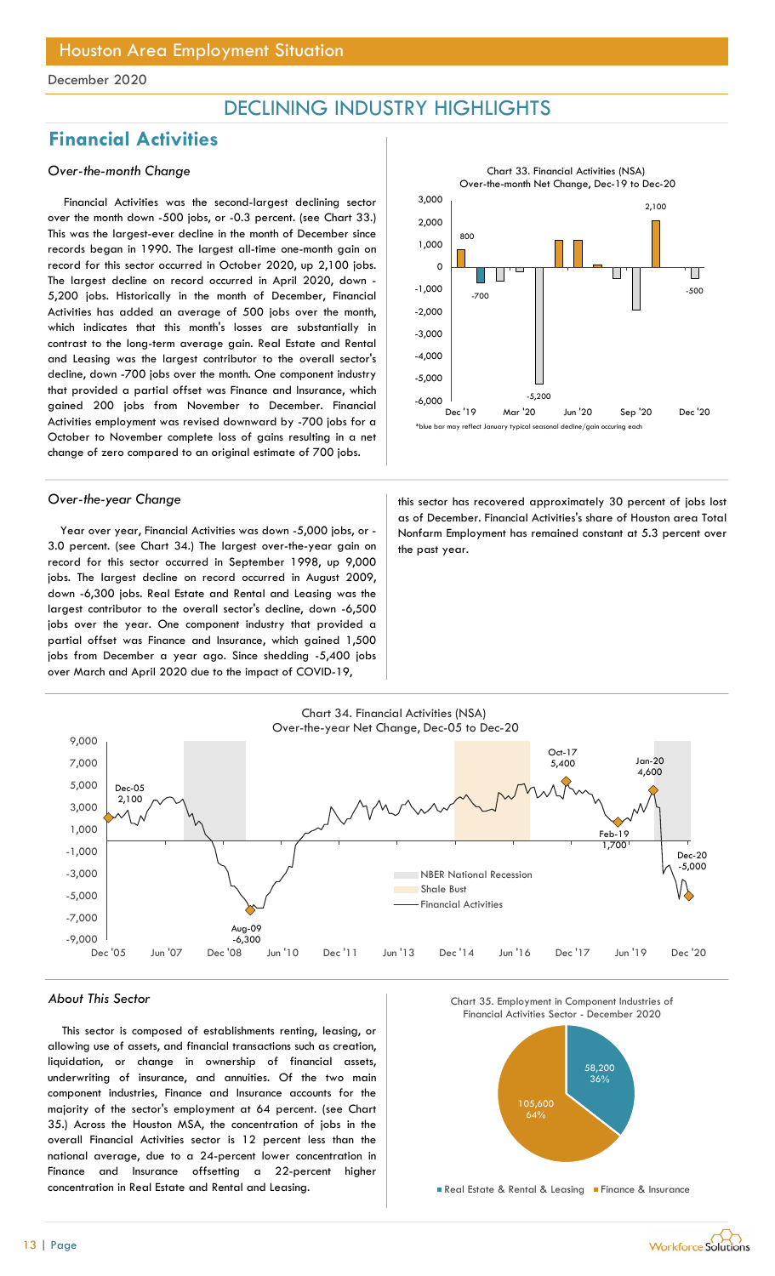## DECLINING INDUSTRY HIGHLIGHTS

## Financial Activities

## Over-the-month Change

Financial Activities was the second-largest declining sector over the month down -500 jobs, or -0.3 percent. (see Chart 33.) This was the largest-ever decline in the month of December since records began in 1990. The largest all-time one-month gain on record for this sector occurred in October 2020, up 2,100 jobs. The largest decline on record occurred in April 2020, down - 5,200 jobs. Historically in the month of December, Financial Activities has added an average of 500 jobs over the month, which indicates that this month's losses are substantially in contrast to the long-term average gain. Real Estate and Rental and Leasing was the largest contributor to the overall sector's decline, down -700 jobs over the month. One component industry that provided a partial offset was Finance and Insurance, which gained 200 jobs from November to December. Financial Activities employment was revised downward by -700 jobs for a October to November complete loss of gains resulting in a net change of zero compared to an original estimate of 700 jobs.

Year over year, Financial Activities was down -5,000 jobs, or - 3.0 percent. (see Chart 34.) The largest over-the-year gain on record for this sector occurred in September 1998, up 9,000 jobs. The largest decline on record occurred in August 2009, down -6,300 jobs. Real Estate and Rental and Leasing was the largest contributor to the overall sector's decline, down -6,500 jobs over the year. One component industry that provided a partial offset was Finance and Insurance, which gained 1,500 jobs from December a year ago. Since shedding -5,400 jobs over March and April 2020 due to the impact of COVID-19,



Over-the-year Change this sector has recovered approximately 30 percent of jobs lost as of December. Financial Activities's share of Houston area Total Nonfarm Employment has remained constant at 5.3 percent over the past year.



#### About This Sector

This sector is composed of establishments renting, leasing, or allowing use of assets, and financial transactions such as creation, liquidation, or change in ownership of financial assets, underwriting of insurance, and annuities. Of the two main component industries, Finance and Insurance accounts for the majority of the sector's employment at 64 percent. (see Chart 35.) Across the Houston MSA, the concentration of jobs in the overall Financial Activities sector is 12 percent less than the national average, due to a 24-percent lower concentration in Finance and Insurance offsetting a 22-percent higher concentration in Real Estate and Rental and Leasing.

Chart 35. Employment in Component Industries of



Real Estate & Rental & Leasing Finance & Insurance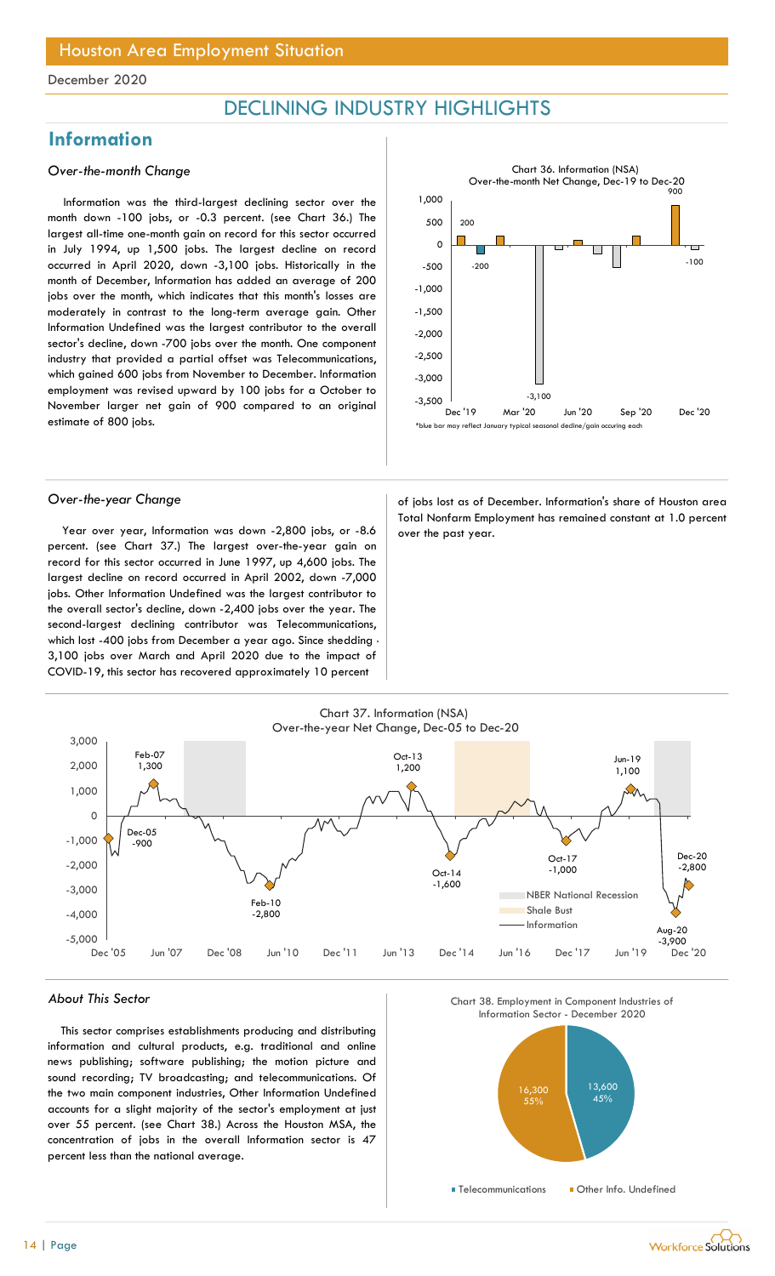## DECLINING INDUSTRY HIGHLIGHTS

## Information

### Over-the-month Change

Information was the third-largest declining sector over the month down -100 jobs, or -0.3 percent. (see Chart 36.) The largest all-time one-month gain on record for this sector occurred in July 1994, up 1,500 jobs. The largest decline on record occurred in April 2020, down -3,100 jobs. Historically in the month of December, Information has added an average of 200 jobs over the month, which indicates that this month's losses are moderately in contrast to the long-term average gain. Other Information Undefined was the largest contributor to the overall sector's decline, down -700 jobs over the month. One component industry that provided a partial offset was Telecommunications, which gained 600 jobs from November to December. Information employment was revised upward by 100 jobs for a October to November larger net gain of 900 compared to an original estimate of 800 jobs.



Year over year, Information was down -2,800 jobs, or -8.6  $\vert$  over the past year. percent. (see Chart 37.) The largest over-the-year gain on record for this sector occurred in June 1997, up 4,600 jobs. The largest decline on record occurred in April 2002, down -7,000 jobs. Other Information Undefined was the largest contributor to the overall sector's decline, down -2,400 jobs over the year. The second-largest declining contributor was Telecommunications, which lost -400 jobs from December a year ago. Since shedding - 3,100 jobs over March and April 2020 due to the impact of COVID-19, this sector has recovered approximately 10 percent

Over-the-year Change and a state of jobs lost as of December. Information's share of Houston area Total Nonfarm Employment has remained constant at 1.0 percent



#### About This Sector

This sector comprises establishments producing and distributing information and cultural products, e.g. traditional and online news publishing; software publishing; the motion picture and sound recording; TV broadcasting; and telecommunications. Of the two main component industries, Other Information Undefined accounts for a slight majority of the sector's employment at just over 55 percent. (see Chart 38.) Across the Houston MSA, the concentration of jobs in the overall Information sector is 47 percent less than the national average.



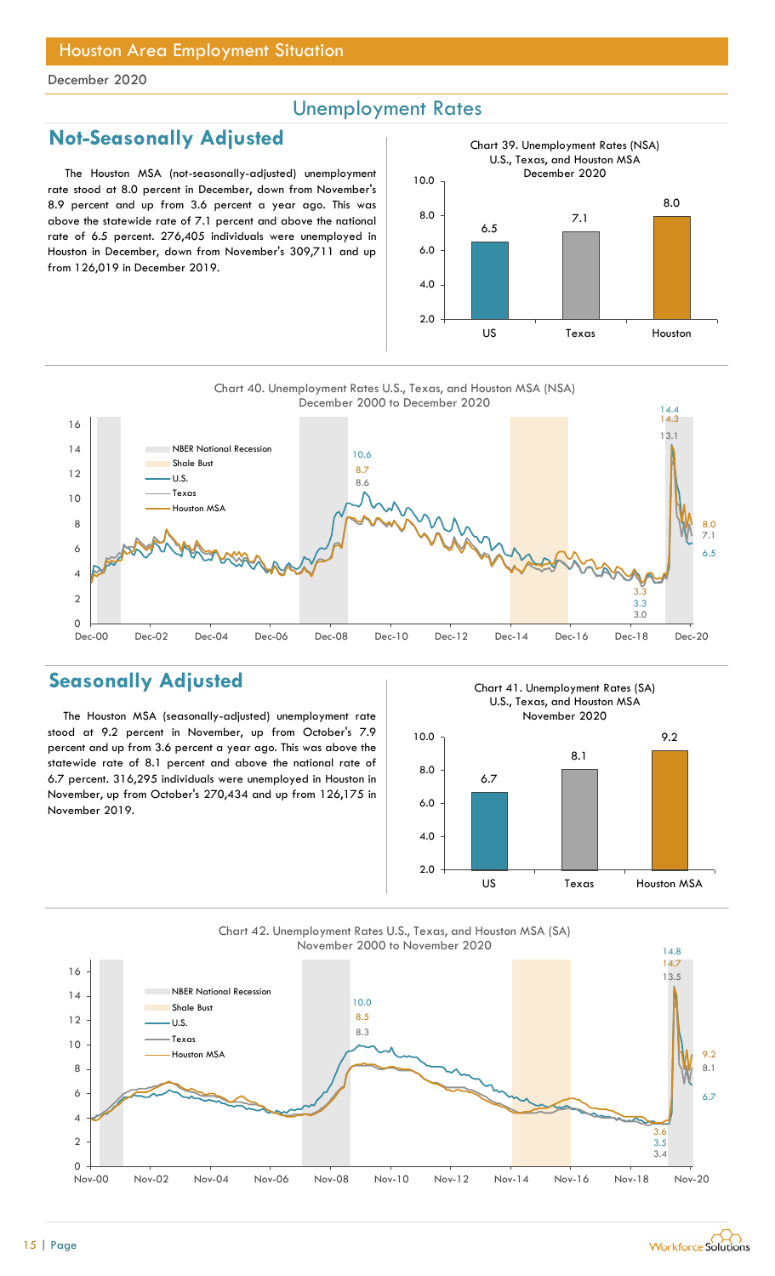## Unemployment Rates

## Not-Seasonally Adjusted

The Houston MSA (not-seasonally-adjusted) unemployment rate stood at 8.0 percent in December, down from November's 8.9 percent and up from 3.6 percent a year ago. This was above the statewide rate of 7.1 percent and above the national rate of 6.5 percent. 276,405 individuals were unemployed in Houston in December, down from November's 309,711 and up from 126,019 in December 2019.



Chart 40. Unemployment Rates U.S., Texas, and Houston MSA (NSA)



## Seasonally Adjusted

The Houston MSA (seasonally-adjusted) unemployment rate stood at 9.2 percent in November, up from October's 7.9 percent and up from 3.6 percent a year ago. This was above the statewide rate of 8.1 percent and above the national rate of 6.7 percent. 316,295 individuals were unemployed in Houston in November, up from October's 270,434 and up from 126,175 in November 2019.

Chart 41. Unemployment Rates (SA) U.S., Texas, and Houston MSA November 2020